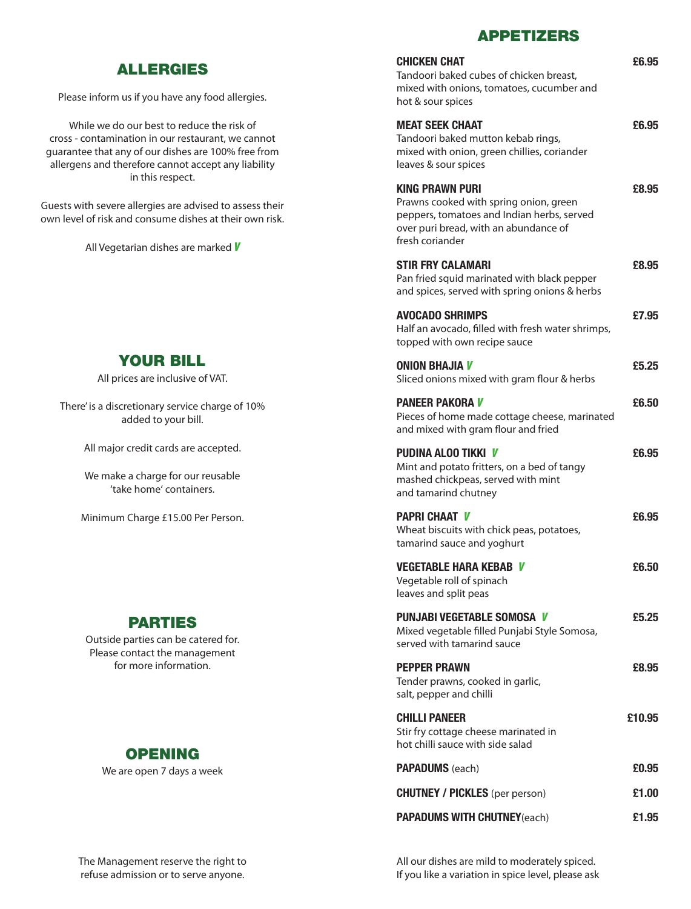#### APPETIZERS

| <b>CHICKEN CHAT</b><br>Tandoori baked cubes of chicken breast,<br>mixed with onions, tomatoes, cucumber and<br>hot & sour spices                                           | £6.95  |
|----------------------------------------------------------------------------------------------------------------------------------------------------------------------------|--------|
| <b>MEAT SEEK CHAAT</b><br>Tandoori baked mutton kebab rings,<br>mixed with onion, green chillies, coriander<br>leaves & sour spices                                        | £6.95  |
| <b>KING PRAWN PURI</b><br>Prawns cooked with spring onion, green<br>peppers, tomatoes and Indian herbs, served<br>over puri bread, with an abundance of<br>fresh coriander | £8.95  |
| <b>STIR FRY CALAMARI</b><br>Pan fried squid marinated with black pepper<br>and spices, served with spring onions & herbs                                                   | £8.95  |
| <b>AVOCADO SHRIMPS</b><br>Half an avocado, filled with fresh water shrimps,<br>topped with own recipe sauce                                                                | £7.95  |
| <b>ONION BHAJIA V</b><br>Sliced onions mixed with gram flour & herbs                                                                                                       | £5.25  |
| <b>PANEER PAKORA V</b><br>Pieces of home made cottage cheese, marinated<br>and mixed with gram flour and fried                                                             | £6.50  |
| <b>PUDINA ALOO TIKKI V</b><br>Mint and potato fritters, on a bed of tangy<br>mashed chickpeas, served with mint<br>and tamarind chutney                                    | £6.95  |
| <b>PAPRI CHAAT V</b><br>Wheat biscuits with chick peas, potatoes,<br>tamarind sauce and yoghurt                                                                            | £6.95  |
| <b>VEGETABLE HARA KEBAB</b><br>V<br>Vegetable roll of spinach<br>leaves and split peas                                                                                     | £6.50  |
| <b>PUNJABI VEGETABLE SOMOSA V</b><br>Mixed vegetable filled Punjabi Style Somosa,<br>served with tamarind sauce                                                            | £5.25  |
| <b>PEPPER PRAWN</b><br>Tender prawns, cooked in garlic,<br>salt, pepper and chilli                                                                                         | £8,95  |
| <b>CHILLI PANEER</b><br>Stir fry cottage cheese marinated in<br>hot chilli sauce with side salad                                                                           | £10.95 |
| <b>PAPADUMS</b> (each)                                                                                                                                                     | £0.95  |
| <b>CHUTNEY / PICKLES</b> (per person)                                                                                                                                      | £1.00  |
| <b>PAPADUMS WITH CHUTNEY(each)</b>                                                                                                                                         | £1.95  |

## ALLERGIES

Please inform us if you have any food allergies.

While we do our best to reduce the risk of cross - contamination in our restaurant, we cannot guarantee that any of our dishes are 100% free from allergens and therefore cannot accept any liability in this respect.

Guests with severe allergies are advised to assess their own level of risk and consume dishes at their own risk.

All Vegetarian dishes are marked *V*

### YOUR BILL

All prices are inclusive of VAT.

There' is a discretionary service charge of 10% added to your bill.

All major credit cards are accepted.

We make a charge for our reusable 'take home' containers.

Minimum Charge £15.00 Per Person.

### PARTIES

Outside parties can be catered for. Please contact the management for more information.



We are open 7 days a week

All our dishes are mild to moderately spiced. If you like a variation in spice level, please ask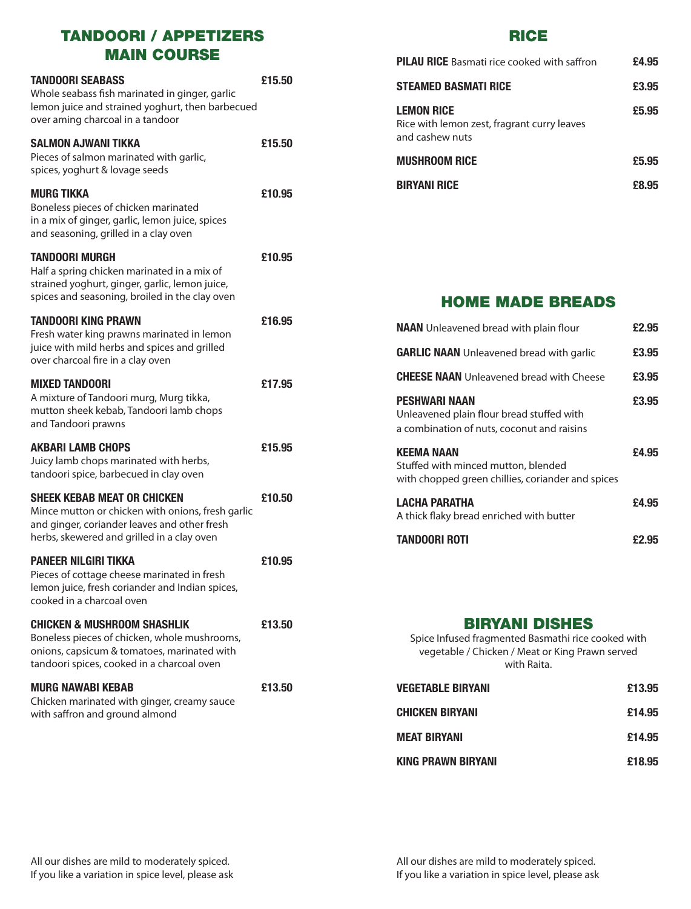## TANDOORI / APPETIZERS MAIN COURSE

| <b>TANDOORI SEABASS</b><br>Whole seabass fish marinated in ginger, garlic<br>lemon juice and strained yoghurt, then barbecued<br>over aming charcoal in a tandoor                     | £15.50 |
|---------------------------------------------------------------------------------------------------------------------------------------------------------------------------------------|--------|
| <b>SALMON AJWANI TIKKA</b><br>Pieces of salmon marinated with garlic,<br>spices, yoghurt & lovage seeds                                                                               | £15.50 |
| <b>MURG TIKKA</b><br>Boneless pieces of chicken marinated<br>in a mix of ginger, garlic, lemon juice, spices<br>and seasoning, grilled in a clay oven                                 | £10.95 |
| <b>TANDOORI MURGH</b><br>Half a spring chicken marinated in a mix of<br>strained yoghurt, ginger, garlic, lemon juice,<br>spices and seasoning, broiled in the clay oven              | £10.95 |
| <b>TANDOORI KING PRAWN</b><br>Fresh water king prawns marinated in lemon<br>juice with mild herbs and spices and grilled<br>over charcoal fire in a clay oven                         | £16.95 |
| <b>MIXED TANDOORI</b><br>A mixture of Tandoori murg, Murg tikka,<br>mutton sheek kebab, Tandoori lamb chops<br>and Tandoori prawns                                                    | £17.95 |
| <b>AKBARI LAMB CHOPS</b><br>Juicy lamb chops marinated with herbs,<br>tandoori spice, barbecued in clay oven                                                                          | £15.95 |
| <b>SHEEK KEBAB MEAT OR CHICKEN</b><br>Mince mutton or chicken with onions, fresh garlic<br>and ginger, coriander leaves and other fresh<br>herbs, skewered and grilled in a clay oven | £10.50 |
| <b>PANEER NILGIRI TIKKA</b><br>Pieces of cottage cheese marinated in fresh<br>lemon juice, fresh coriander and Indian spices,<br>cooked in a charcoal oven                            | £10.95 |
| <b>CHICKEN &amp; MUSHROOM SHASHLIK</b><br>Boneless pieces of chicken, whole mushrooms,<br>onions, capsicum & tomatoes, marinated with<br>tandoori spices, cooked in a charcoal oven   | £13.50 |
| <b>MURG NAWABI KEBAB</b><br>Chicken marinated with ginger, creamy sauce<br>with saffron and ground almond                                                                             | £13.50 |

#### RICE

| <b>BIRYANI RICE</b>                                                                 | £8.95 |
|-------------------------------------------------------------------------------------|-------|
| <b>MUSHROOM RICE</b>                                                                | £5.95 |
| <b>LEMON RICE</b><br>Rice with lemon zest, fragrant curry leaves<br>and cashew nuts | £5.95 |
| <b>STEAMED BASMATI RICE</b>                                                         | £3.95 |
| <b>PILAU RICE</b> Basmati rice cooked with saffron                                  | £4.95 |

#### HOME MADE BREADS

| <b>NAAN</b> Unleavened bread with plain flour                                                                   | £2.95 |
|-----------------------------------------------------------------------------------------------------------------|-------|
| <b>GARLIC NAAN</b> Unleavened bread with garlic                                                                 | £3.95 |
| <b>CHEESE NAAN</b> Unleavened bread with Cheese                                                                 | £3,95 |
| <b>PESHWARI NAAN</b><br>Unleavened plain flour bread stuffed with<br>a combination of nuts, coconut and raisins | £3.95 |
| <b>KEEMA NAAN</b><br>Stuffed with minced mutton, blended<br>with chopped green chillies, coriander and spices   | £4.95 |
| LACHA PARATHA<br>A thick flaky bread enriched with butter                                                       | £4.95 |
| <b>TANDOORI ROTI</b>                                                                                            | £2.95 |

## BIRYANI DISHES

Spice Infused fragmented Basmathi rice cooked with vegetable / Chicken / Meat or King Prawn served with Raita.

| Vegetable biryanı      | £13.95 |
|------------------------|--------|
| <b>CHICKEN BIRYANI</b> | £14.95 |
| <b>MEAT BIRYANI</b>    | £14.95 |
| KING PRAWN BIRYANI     | £18.95 |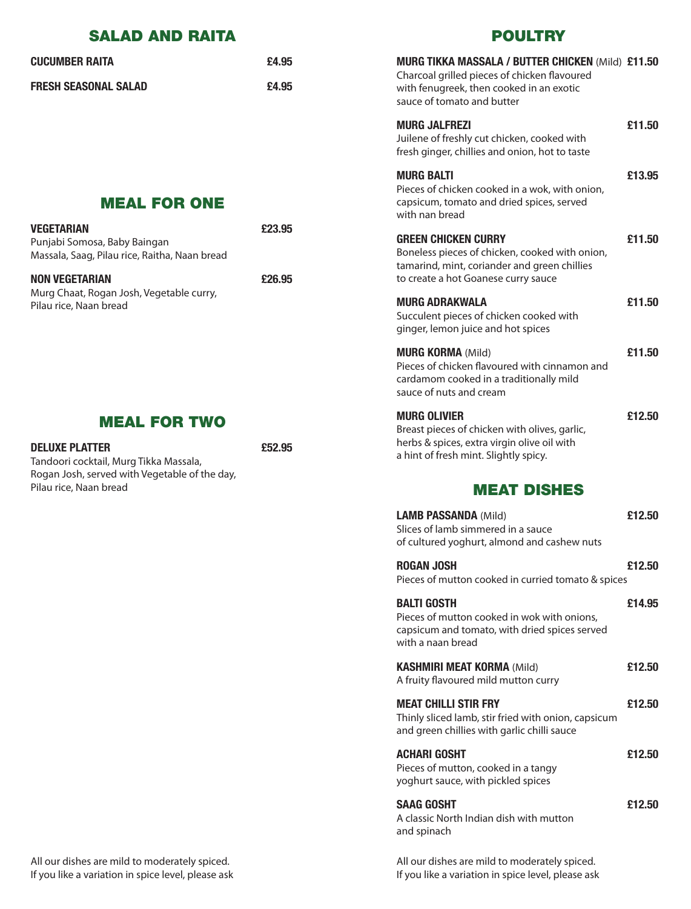| <b>SALAD AND RAITA</b>                                                                                           |        | <b>POULTRY</b>                                                                                                                                  |        |
|------------------------------------------------------------------------------------------------------------------|--------|-------------------------------------------------------------------------------------------------------------------------------------------------|--------|
| <b>CUCUMBER RAITA</b>                                                                                            | £4.95  | <b>MURG TIKKA MASSALA / BUTTER CHICKEN (Mild) £11.50</b><br>Charcoal grilled pieces of chicken flavoured                                        |        |
| <b>FRESH SEASONAL SALAD</b>                                                                                      | £4.95  | with fenugreek, then cooked in an exotic<br>sauce of tomato and butter                                                                          |        |
|                                                                                                                  |        | <b>MURG JALFREZI</b><br>Juilene of freshly cut chicken, cooked with<br>fresh ginger, chillies and onion, hot to taste                           | £11.50 |
| <b>MEAL FOR ONE</b>                                                                                              |        | <b>MURG BALTI</b><br>Pieces of chicken cooked in a wok, with onion,<br>capsicum, tomato and dried spices, served<br>with nan bread              | £13.95 |
| <b>VEGETARIAN</b><br>Punjabi Somosa, Baby Baingan<br>Massala, Saag, Pilau rice, Raitha, Naan bread               | £23.95 | <b>GREEN CHICKEN CURRY</b><br>Boneless pieces of chicken, cooked with onion,<br>tamarind, mint, coriander and green chillies                    | £11.50 |
| <b>NON VEGETARIAN</b><br>Murg Chaat, Rogan Josh, Vegetable curry,<br>Pilau rice, Naan bread                      | £26.95 | to create a hot Goanese curry sauce                                                                                                             |        |
|                                                                                                                  |        | <b>MURG ADRAKWALA</b><br>Succulent pieces of chicken cooked with<br>ginger, lemon juice and hot spices                                          | £11.50 |
|                                                                                                                  |        | <b>MURG KORMA (Mild)</b><br>Pieces of chicken flavoured with cinnamon and<br>cardamom cooked in a traditionally mild<br>sauce of nuts and cream | £11.50 |
| <b>MEAL FOR TWO</b>                                                                                              |        | <b>MURG OLIVIER</b><br>Breast pieces of chicken with olives, garlic,                                                                            | £12.50 |
| <b>DELUXE PLATTER</b><br>Tandoori cocktail, Murg Tikka Massala,<br>Rogan Josh, served with Vegetable of the day, | £52.95 | herbs & spices, extra virgin olive oil with<br>a hint of fresh mint. Slightly spicy.                                                            |        |
| Pilau rice, Naan bread                                                                                           |        | <b>MEAT DISHES</b>                                                                                                                              |        |
|                                                                                                                  |        | <b>LAMB PASSANDA (Mild)</b><br>Slices of lamb simmered in a sauce<br>of cultured yoghurt, almond and cashew nuts                                | £12.50 |
|                                                                                                                  |        | <b>ROGAN JOSH</b><br>Pieces of mutton cooked in curried tomato & spices                                                                         | £12.50 |
|                                                                                                                  |        | <b>BALTI GOSTH</b><br>Pieces of mutton cooked in wok with onions,<br>capsicum and tomato, with dried spices served                              | £14.95 |

All our dishes are mild to moderately spiced. If you like a variation in spice level, please ask All our dishes are mild to moderately spiced. If you like a variation in spice level, please ask

**KASHMIRI MEAT KORMA** (Mild) **£12.50**

**MEAT CHILLI STIR FRY £12.50**

**ACHARI GOSHT £12.50**

**SAAG GOSHT £12.50**

Thinly sliced lamb, stir fried with onion, capsicum

with a naan bread

and spinach

A fruity flavoured mild mutton curry

and green chillies with garlic chilli sauce

Pieces of mutton, cooked in a tangy yoghurt sauce, with pickled spices

A classic North Indian dish with mutton